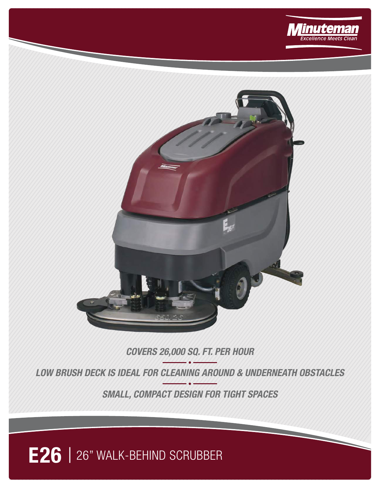



## **COVERS 26,000 SQ. FT. PER HOUR**

**LOW BRUSH DECK IS IDEAL FOR CLEANING AROUND & UNDERNEATH OBSTACLES**

**SMALL, COMPACT DESIGN FOR TIGHT SPACES**